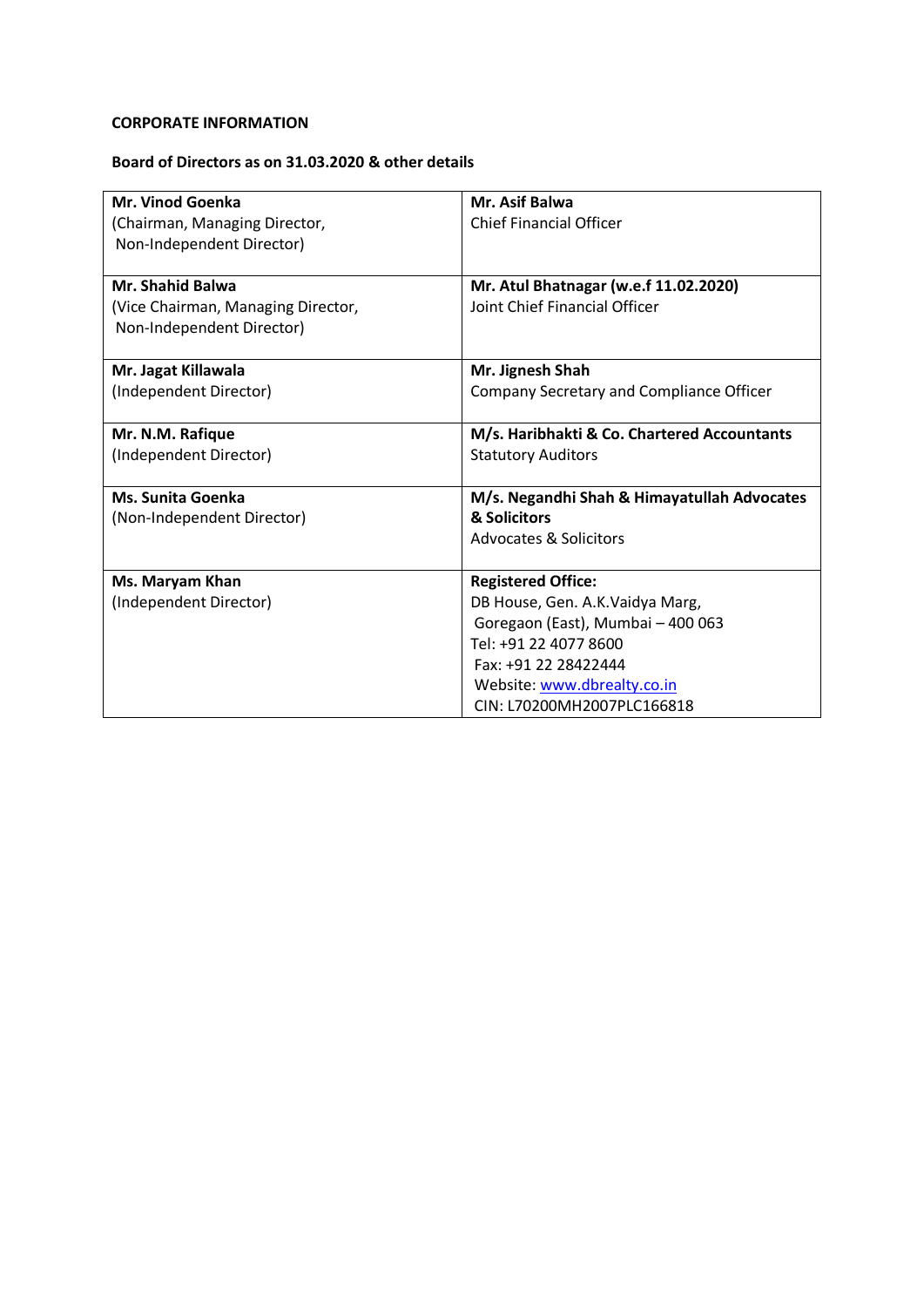# **CORPORATE INFORMATION**

## **Board of Directors as on 31.03.2020 & other details**

| Mr. Vinod Goenka                   | Mr. Asif Balwa                              |
|------------------------------------|---------------------------------------------|
| (Chairman, Managing Director,      | <b>Chief Financial Officer</b>              |
| Non-Independent Director)          |                                             |
|                                    |                                             |
| <b>Mr. Shahid Balwa</b>            | Mr. Atul Bhatnagar (w.e.f 11.02.2020)       |
| (Vice Chairman, Managing Director, | Joint Chief Financial Officer               |
| Non-Independent Director)          |                                             |
|                                    |                                             |
| Mr. Jagat Killawala                | Mr. Jignesh Shah                            |
| (Independent Director)             | Company Secretary and Compliance Officer    |
|                                    |                                             |
| Mr. N.M. Rafique                   | M/s. Haribhakti & Co. Chartered Accountants |
| (Independent Director)             | <b>Statutory Auditors</b>                   |
|                                    |                                             |
| <b>Ms. Sunita Goenka</b>           | M/s. Negandhi Shah & Himayatullah Advocates |
| (Non-Independent Director)         | & Solicitors                                |
|                                    | <b>Advocates &amp; Solicitors</b>           |
|                                    |                                             |
| Ms. Maryam Khan                    | <b>Registered Office:</b>                   |
| (Independent Director)             | DB House, Gen. A.K. Vaidya Marg,            |
|                                    | Goregaon (East), Mumbai - 400 063           |
|                                    | Tel: +91 22 4077 8600                       |
|                                    | Fax: +91 22 28422444                        |
|                                    | Website: www.dbrealty.co.in                 |
|                                    | CIN: L70200MH2007PLC166818                  |